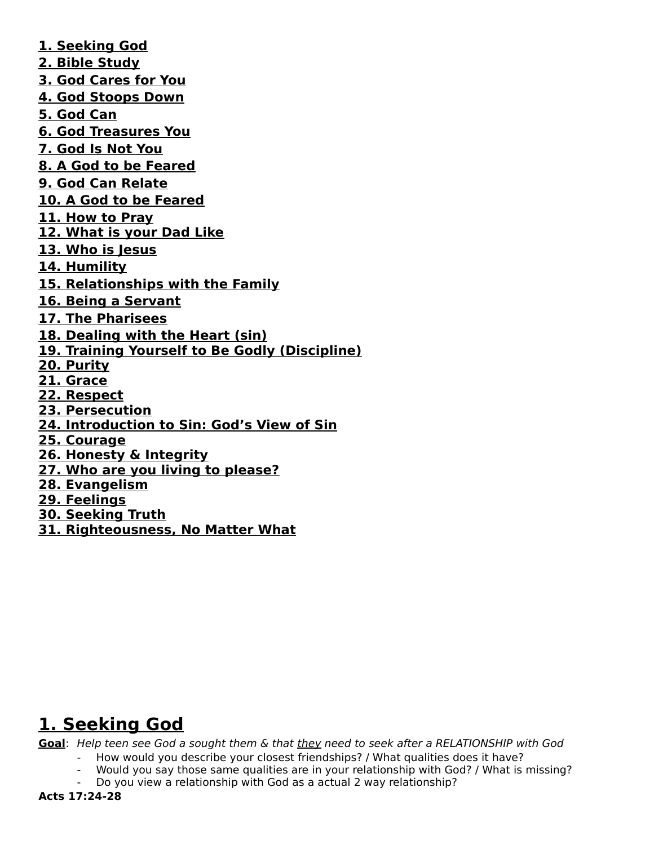**1. Seeking God 2. Bible Study 3. God Cares for You 4. God Stoops Down 5. God Can 6. God Treasures You 7. God Is Not You 8. A God to be Feared 9. God Can Relate 10. A God to be Feared 11. How to Pray 12. What is your Dad Like 13. Who is Jesus 14. Humility 15. Relationships with the Family 16. Being a Servant 17. The Pharisees 18. Dealing with the Heart (sin) 19. Training Yourself to Be Godly (Discipline) 20. Purity 21. Grace 22. Respect 23. Persecution 24. Introduction to Sin: God's View of Sin 25. Courage 26. Honesty & Integrity 27. Who are you living to please? 28. Evangelism 29. Feelings 30. Seeking Truth 31. Righteousness, No Matter What**

# **1. Seeking God**

Goal: Help teen see God a sought them & that they need to seek after a RELATIONSHIP with God

- How would you describe your closest friendships? / What qualities does it have?
- Would you say those same qualities are in your relationship with God? / What is missing?
	- Do you view a relationship with God as a actual 2 way relationship?

**Acts 17:24-28**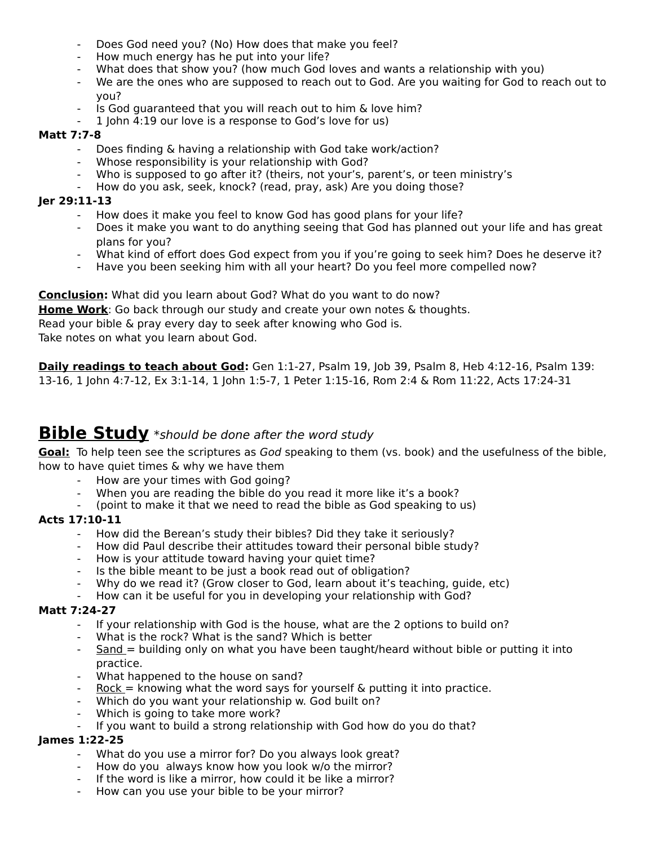- Does God need you? (No) How does that make you feel?
- How much energy has he put into your life?
- What does that show you? (how much God loves and wants a relationship with you)
- We are the ones who are supposed to reach out to God. Are you waiting for God to reach out to you?
- Is God guaranteed that you will reach out to him & love him?
- 1 John 4:19 our love is a response to God's love for us)

### **Matt 7:7-8**

- Does finding & having a relationship with God take work/action?
- Whose responsibility is your relationship with God?
- Who is supposed to go after it? (theirs, not your's, parent's, or teen ministry's
- How do you ask, seek, knock? (read, pray, ask) Are you doing those?

### **Jer 29:11-13**

- How does it make you feel to know God has good plans for your life?
- Does it make you want to do anything seeing that God has planned out your life and has great plans for you?
- What kind of effort does God expect from you if you're going to seek him? Does he deserve it?
- Have you been seeking him with all your heart? Do you feel more compelled now?

**Conclusion:** What did you learn about God? What do you want to do now? **Home Work**: Go back through our study and create your own notes & thoughts. Read your bible & pray every day to seek after knowing who God is. Take notes on what you learn about God.

**Daily readings to teach about God:** Gen 1:1-27, Psalm 19, Job 39, Psalm 8, Heb 4:12-16, Psalm 139: 13-16, 1 John 4:7-12, Ex 3:1-14, 1 John 1:5-7, 1 Peter 1:15-16, Rom 2:4 & Rom 11:22, Acts 17:24-31

## **Bible Study** \*should be done after the word study

**Goal:** To help teen see the scriptures as God speaking to them (vs. book) and the usefulness of the bible, how to have quiet times & why we have them

- How are your times with God going?
- When you are reading the bible do you read it more like it's a book?
- (point to make it that we need to read the bible as God speaking to us)

## **Acts 17:10-11**

- How did the Berean's study their bibles? Did they take it seriously?
- How did Paul describe their attitudes toward their personal bible study?
- How is your attitude toward having your quiet time?
- Is the bible meant to be just a book read out of obligation?
- Why do we read it? (Grow closer to God, learn about it's teaching, guide, etc)
- How can it be useful for you in developing your relationship with God?

### **Matt 7:24-27**

- If your relationship with God is the house, what are the 2 options to build on?
- What is the rock? What is the sand? Which is better
- Sand = building only on what you have been taught/heard without bible or putting it into practice.
- What happened to the house on sand?
- $Rock = knowing what the word says for yourself & putting it into practice.$
- Which do you want your relationship w. God built on?
- Which is going to take more work?
- If you want to build a strong relationship with God how do you do that?

### **James 1:22-25**

- What do you use a mirror for? Do you always look great?
- How do you always know how you look w/o the mirror?
- If the word is like a mirror, how could it be like a mirror?
- How can you use your bible to be your mirror?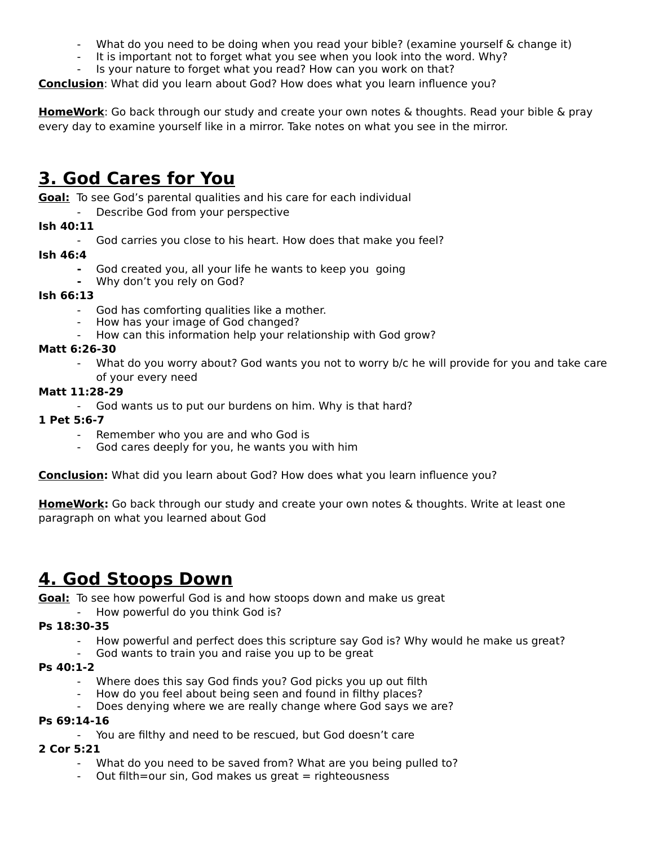- What do you need to be doing when you read your bible? (examine yourself & change it)
- It is important not to forget what you see when you look into the word. Why?
- Is your nature to forget what you read? How can you work on that?

**Conclusion**: What did you learn about God? How does what you learn influence you?

**HomeWork**: Go back through our study and create your own notes & thoughts. Read your bible & pray every day to examine yourself like in a mirror. Take notes on what you see in the mirror.

## **3. God Cares for You**

**Goal:** To see God's parental qualities and his care for each individual

Describe God from your perspective

## **Ish 40:11**

- God carries you close to his heart. How does that make you feel?

### **Ish 46:4**

- **-** God created you, all your life he wants to keep you going
- **-** Why don't you rely on God?

### **Ish 66:13**

- God has comforting qualities like a mother.
- How has your image of God changed?
- How can this information help your relationship with God grow?

### **Matt 6:26-30**

What do you worry about? God wants you not to worry b/c he will provide for you and take care of your every need

### **Matt 11:28-29**

- God wants us to put our burdens on him. Why is that hard?

### **1 Pet 5:6-7**

- Remember who you are and who God is
- God cares deeply for you, he wants you with him

**Conclusion:** What did you learn about God? How does what you learn influence you?

**HomeWork:** Go back through our study and create your own notes & thoughts. Write at least one paragraph on what you learned about God

## **4. God Stoops Down**

**Goal:** To see how powerful God is and how stoops down and make us great

## How powerful do you think God is?

### **Ps 18:30-35**

- How powerful and perfect does this scripture say God is? Why would he make us great?
- God wants to train you and raise you up to be great

### **Ps 40:1-2**

- Where does this say God finds you? God picks you up out filth
- How do you feel about being seen and found in filthy places?
	- Does denying where we are really change where God says we are?

### **Ps 69:14-16**

- You are filthy and need to be rescued, but God doesn't care

### **2 Cor 5:21**

- What do you need to be saved from? What are you being pulled to?
- Out filth=our sin, God makes us great  $=$  righteousness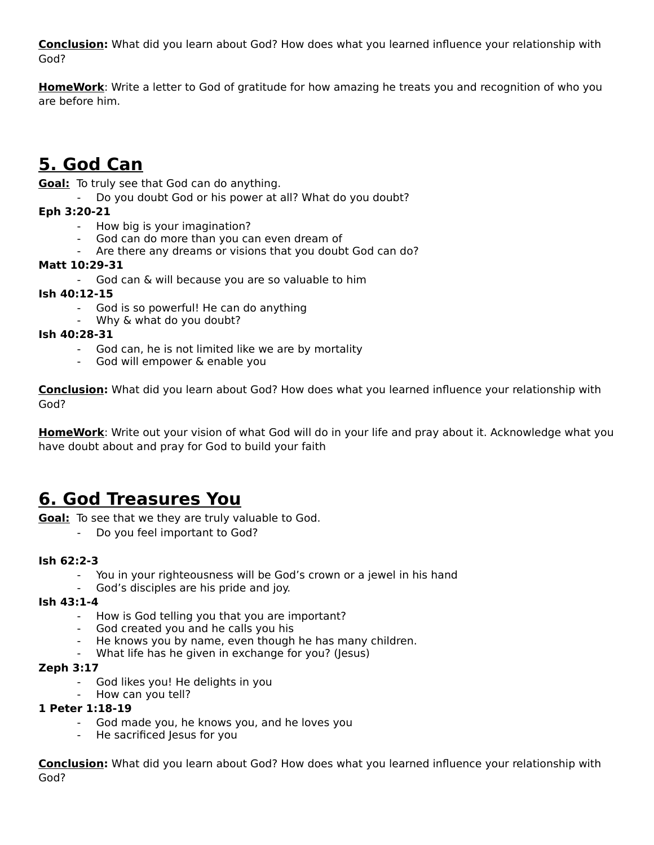**Conclusion:** What did you learn about God? How does what you learned influence your relationship with God?

**HomeWork**: Write a letter to God of gratitude for how amazing he treats you and recognition of who you are before him.

# **5. God Can**

**Goal:** To truly see that God can do anything.

Do you doubt God or his power at all? What do you doubt?

## **Eph 3:20-21**

- How big is your imagination?
- God can do more than you can even dream of
- Are there any dreams or visions that you doubt God can do?

## **Matt 10:29-31**

- God can & will because you are so valuable to him

## **Ish 40:12-15**

- God is so powerful! He can do anything
- Why & what do you doubt?

### **Ish 40:28-31**

- God can, he is not limited like we are by mortality
- God will empower & enable you

**Conclusion:** What did you learn about God? How does what you learned influence your relationship with God?

**HomeWork**: Write out your vision of what God will do in your life and pray about it. Acknowledge what you have doubt about and pray for God to build your faith

## **6. God Treasures You**

**Goal:** To see that we they are truly valuable to God.

- Do you feel important to God?

### **Ish 62:2-3**

- You in your righteousness will be God's crown or a jewel in his hand
- God's disciples are his pride and joy.

### **Ish 43:1-4**

- How is God telling you that you are important?
- God created you and he calls you his
- He knows you by name, even though he has many children.
- What life has he given in exchange for you? (Jesus)

### **Zeph 3:17**

- God likes you! He delights in you
- How can you tell?

### **1 Peter 1:18-19**

- God made you, he knows you, and he loves you
- He sacrificed Jesus for you

**Conclusion:** What did you learn about God? How does what you learned influence your relationship with God?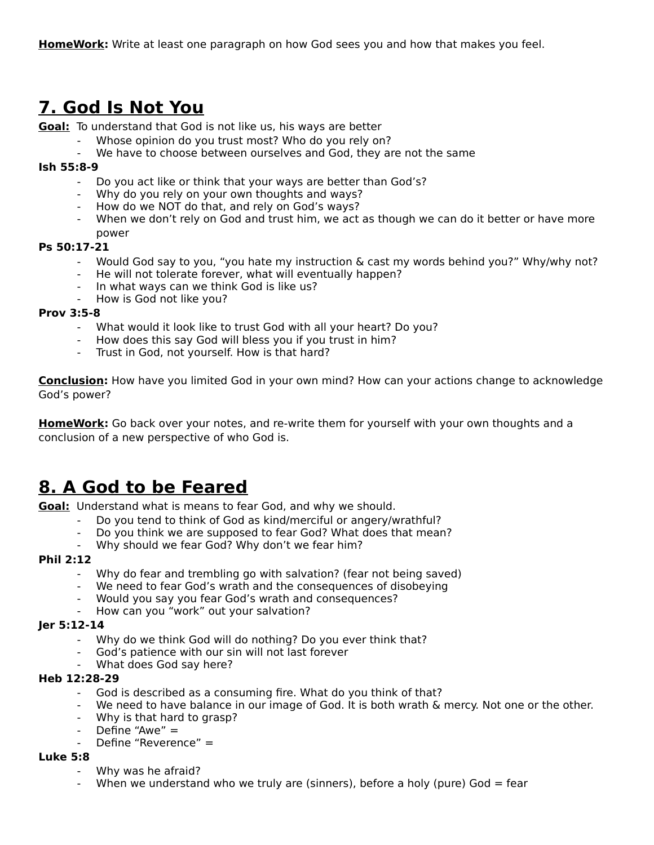## **7. God Is Not You**

**Goal:** To understand that God is not like us, his ways are better

- Whose opinion do you trust most? Who do you rely on?
- We have to choose between ourselves and God, they are not the same

#### **Ish 55:8-9**

- Do you act like or think that your ways are better than God's?
- Why do you rely on your own thoughts and ways?
- How do we NOT do that, and rely on God's ways?
- When we don't rely on God and trust him, we act as though we can do it better or have more power

#### **Ps 50:17-21**

- Would God say to you, "you hate my instruction & cast my words behind you?" Why/why not?
- He will not tolerate forever, what will eventually happen?
- In what ways can we think God is like us?
- How is God not like you?

#### **Prov 3:5-8**

- What would it look like to trust God with all your heart? Do you?
- How does this say God will bless you if you trust in him?
- Trust in God, not yourself. How is that hard?

**Conclusion:** How have you limited God in your own mind? How can your actions change to acknowledge God's power?

**HomeWork:** Go back over your notes, and re-write them for yourself with your own thoughts and a conclusion of a new perspective of who God is.

## **8. A God to be Feared**

**Goal:** Understand what is means to fear God, and why we should.

- Do you tend to think of God as kind/merciful or angery/wrathful?
- Do you think we are supposed to fear God? What does that mean?
- Why should we fear God? Why don't we fear him?

#### **Phil 2:12**

- Why do fear and trembling go with salvation? (fear not being saved)
- We need to fear God's wrath and the consequences of disobeying
- Would you say you fear God's wrath and consequences?
- How can you "work" out your salvation?

#### **Jer 5:12-14**

- Why do we think God will do nothing? Do you ever think that?
- God's patience with our sin will not last forever
- What does God say here?

### **Heb 12:28-29**

- God is described as a consuming fire. What do you think of that?
- We need to have balance in our image of God. It is both wrath & mercy. Not one or the other.
- Why is that hard to grasp?
- Define "Awe"  $=$
- Define "Reverence" =

### **Luke 5:8**

- Why was he afraid?
- When we understand who we truly are (sinners), before a holy (pure) God  $=$  fear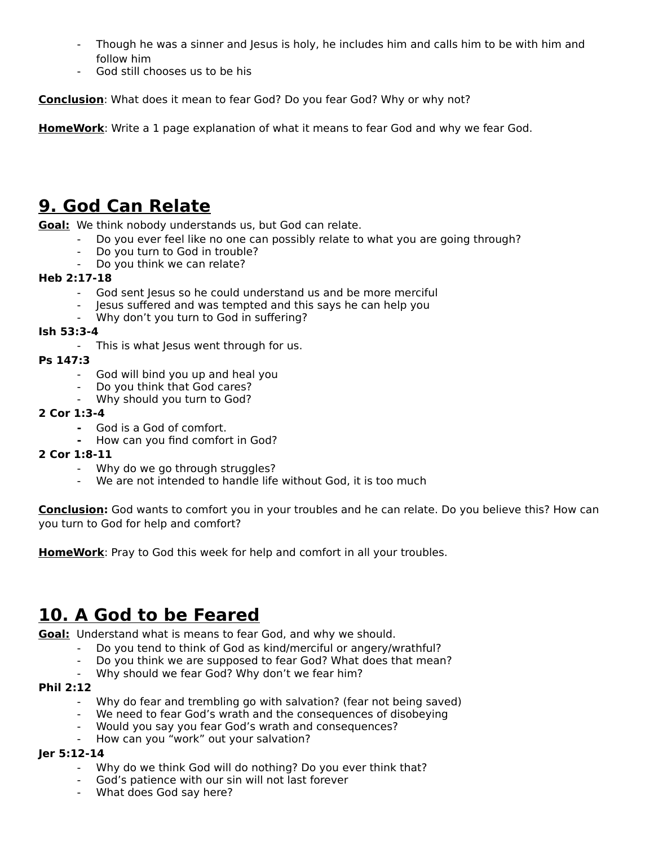- Though he was a sinner and Jesus is holy, he includes him and calls him to be with him and follow him
- God still chooses us to be his

**Conclusion**: What does it mean to fear God? Do you fear God? Why or why not?

**HomeWork**: Write a 1 page explanation of what it means to fear God and why we fear God.

# **9. God Can Relate**

**Goal:** We think nobody understands us, but God can relate.

- Do you ever feel like no one can possibly relate to what you are going through?
	- Do you turn to God in trouble?
	- Do you think we can relate?

### **Heb 2:17-18**

- God sent Jesus so he could understand us and be more merciful
- Jesus suffered and was tempted and this says he can help you
- Why don't you turn to God in suffering?

### **Ish 53:3-4**

- This is what Jesus went through for us.

### **Ps 147:3**

- God will bind you up and heal you
- Do you think that God cares?
- Why should you turn to God?

### **2 Cor 1:3-4**

- **-** God is a God of comfort.
- **-** How can you find comfort in God?

### **2 Cor 1:8-11**

- Why do we go through struggles?
- We are not intended to handle life without God, it is too much

**Conclusion:** God wants to comfort you in your troubles and he can relate. Do you believe this? How can you turn to God for help and comfort?

**HomeWork**: Pray to God this week for help and comfort in all your troubles.

## **10. A God to be Feared**

**Goal:** Understand what is means to fear God, and why we should.

- Do you tend to think of God as kind/merciful or angery/wrathful?
- Do you think we are supposed to fear God? What does that mean?
- Why should we fear God? Why don't we fear him?

### **Phil 2:12**

- Why do fear and trembling go with salvation? (fear not being saved)
- We need to fear God's wrath and the consequences of disobeying
- Would you say you fear God's wrath and consequences?
- How can you "work" out your salvation?

### **Jer 5:12-14**

- Why do we think God will do nothing? Do you ever think that?
- God's patience with our sin will not last forever
- What does God say here?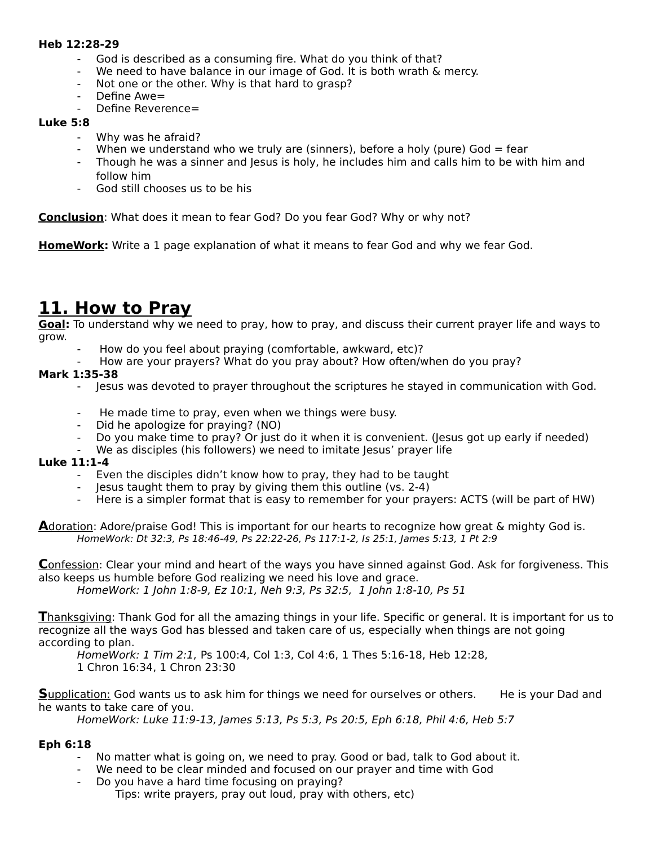#### **Heb 12:28-29**

- God is described as a consuming fire. What do you think of that?
- We need to have balance in our image of God. It is both wrath & mercy.
- Not one or the other. Why is that hard to grasp?
- Define Awe=
- Define Reverence=

### **Luke 5:8**

- Why was he afraid?
- When we understand who we truly are (sinners), before a holy (pure) God  $=$  fear
- Though he was a sinner and Jesus is holy, he includes him and calls him to be with him and follow him
- God still chooses us to be his

**Conclusion**: What does it mean to fear God? Do you fear God? Why or why not?

**HomeWork:** Write a 1 page explanation of what it means to fear God and why we fear God.

## **11. How to Pray**

**Goal:** To understand why we need to pray, how to pray, and discuss their current prayer life and ways to grow.

- How do you feel about praying (comfortable, awkward, etc)?
- How are your prayers? What do you pray about? How often/when do you pray?

### **Mark 1:35-38**

- Jesus was devoted to prayer throughout the scriptures he stayed in communication with God.
- He made time to pray, even when we things were busy.
- Did he apologize for praying? (NO)
- Do you make time to pray? Or just do it when it is convenient. (Jesus got up early if needed)
- We as disciples (his followers) we need to imitate Jesus' prayer life

### **Luke 11:1-4**

- Even the disciples didn't know how to pray, they had to be taught
- Jesus taught them to pray by giving them this outline (vs. 2-4)
- Here is a simpler format that is easy to remember for your prayers: ACTS (will be part of HW)

 **A**doration: Adore/praise God! This is important for our hearts to recognize how great & mighty God is. HomeWork: Dt 32:3, Ps 18:46-49, Ps 22:22-26, Ps 117:1-2, Is 25:1, James 5:13, 1 Pt 2:9

 **C**onfession: Clear your mind and heart of the ways you have sinned against God. Ask for forgiveness. This also keeps us humble before God realizing we need his love and grace.

HomeWork: 1 John 1:8-9, Ez 10:1, Neh 9:3, Ps 32:5, 1 John 1:8-10, Ps 51

 **T**hanksgiving: Thank God for all the amazing things in your life. Specific or general. It is important for us to recognize all the ways God has blessed and taken care of us, especially when things are not going according to plan.

HomeWork: 1 Tim 2:1, Ps 100:4, Col 1:3, Col 4:6, 1 Thes 5:16-18, Heb 12:28, 1 Chron 16:34, 1 Chron 23:30

**S**upplication: God wants us to ask him for things we need for ourselves or others. He is your Dad and he wants to take care of you.

HomeWork: Luke 11:9-13, James 5:13, Ps 5:3, Ps 20:5, Eph 6:18, Phil 4:6, Heb 5:7

### **Eph 6:18**

- No matter what is going on, we need to pray. Good or bad, talk to God about it.
- We need to be clear minded and focused on our prayer and time with God
- Do you have a hard time focusing on praying? Tips: write prayers, pray out loud, pray with others, etc)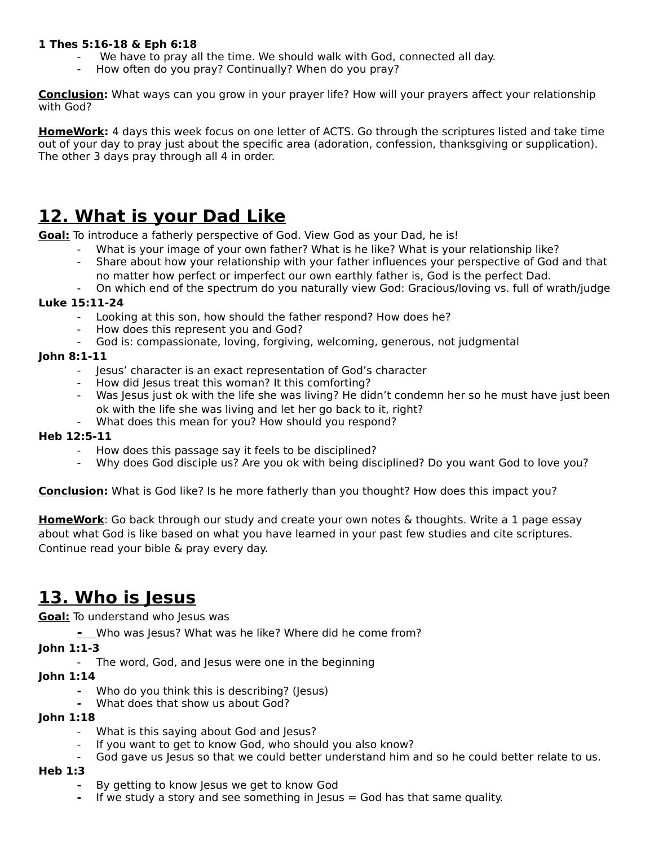### **1 Thes 5:16-18 & Eph 6:18**

- We have to pray all the time. We should walk with God, connected all day.
- How often do you pray? Continually? When do you pray?

**Conclusion:** What ways can you grow in your prayer life? How will your prayers affect your relationship with God?

**HomeWork:** 4 days this week focus on one letter of ACTS. Go through the scriptures listed and take time out of your day to pray just about the specific area (adoration, confession, thanksgiving or supplication). The other 3 days pray through all 4 in order.

# **12. What is your Dad Like**

**Goal:** To introduce a fatherly perspective of God. View God as your Dad, he is!

- What is your image of your own father? What is he like? What is your relationship like?
- Share about how your relationship with your father influences your perspective of God and that no matter how perfect or imperfect our own earthly father is, God is the perfect Dad.
- On which end of the spectrum do you naturally view God: Gracious/loving vs. full of wrath/judge

## **Luke 15:11-24**

- Looking at this son, how should the father respond? How does he?
- How does this represent you and God?
- God is: compassionate, loving, forgiving, welcoming, generous, not judgmental

### **John 8:1-11**

- Jesus' character is an exact representation of God's character
- How did Jesus treat this woman? It this comforting?
- Was Jesus just ok with the life she was living? He didn't condemn her so he must have just been ok with the life she was living and let her go back to it, right?
- What does this mean for you? How should you respond?

### **Heb 12:5-11**

- How does this passage say it feels to be disciplined?
- Why does God disciple us? Are you ok with being disciplined? Do you want God to love you?

**Conclusion:** What is God like? Is he more fatherly than you thought? How does this impact you?

**HomeWork**: Go back through our study and create your own notes & thoughts. Write a 1 page essay about what God is like based on what you have learned in your past few studies and cite scriptures. Continue read your bible & pray every day.

## **13. Who is Jesus**

**Goal:** To understand who Jesus was

**-** Who was Jesus? What was he like? Where did he come from?

## **John 1:1-3**

The word, God, and Jesus were one in the beginning

## **John 1:14**

- **-** Who do you think this is describing? (Jesus)
- **-** What does that show us about God?

### **John 1:18**

- What is this saying about God and Jesus?
- If you want to get to know God, who should you also know?
- God gave us Jesus so that we could better understand him and so he could better relate to us.

### **Heb 1:3**

- **-** By getting to know Jesus we get to know God
- **-** If we study a story and see something in Jesus = God has that same quality.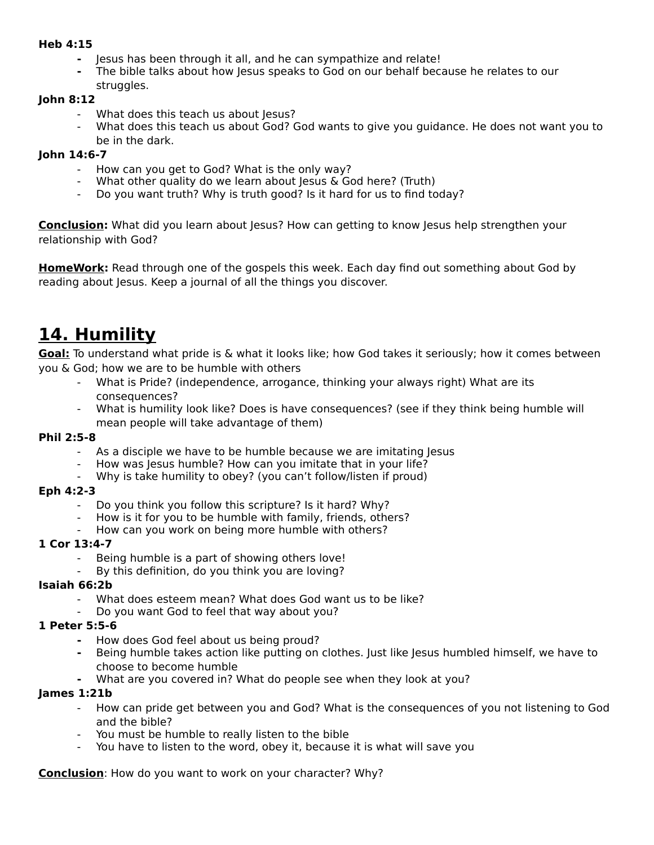#### **Heb 4:15**

- **-** Jesus has been through it all, and he can sympathize and relate!
- **-** The bible talks about how Jesus speaks to God on our behalf because he relates to our struggles.

### **John 8:12**

- What does this teach us about Jesus?
- What does this teach us about God? God wants to give you guidance. He does not want you to be in the dark.

#### **John 14:6-7**

- How can you get to God? What is the only way?
- What other quality do we learn about Jesus  $\&$  God here? (Truth)
- Do you want truth? Why is truth good? Is it hard for us to find today?

**Conclusion:** What did you learn about Jesus? How can getting to know Jesus help strengthen your relationship with God?

**HomeWork:** Read through one of the gospels this week. Each day find out something about God by reading about Jesus. Keep a journal of all the things you discover.

## **14. Humility**

**Goal:** To understand what pride is & what it looks like; how God takes it seriously; how it comes between you & God; how we are to be humble with others

- What is Pride? (independence, arrogance, thinking your always right) What are its consequences?
- What is humility look like? Does is have consequences? (see if they think being humble will mean people will take advantage of them)

#### **Phil 2:5-8**

- As a disciple we have to be humble because we are imitating Jesus
- How was Jesus humble? How can you imitate that in your life?
- Why is take humility to obey? (you can't follow/listen if proud)

#### **Eph 4:2-3**

- Do you think you follow this scripture? Is it hard? Why?
- How is it for you to be humble with family, friends, others?
	- How can you work on being more humble with others?

### **1 Cor 13:4-7**

- Being humble is a part of showing others love!
- By this definition, do you think you are loving?

### **Isaiah 66:2b**

- What does esteem mean? What does God want us to be like?
- Do you want God to feel that way about you?

### **1 Peter 5:5-6**

- **-** How does God feel about us being proud?
- **-** Being humble takes action like putting on clothes. Just like Jesus humbled himself, we have to choose to become humble
- **-** What are you covered in? What do people see when they look at you?

### **James 1:21b**

- How can pride get between you and God? What is the consequences of you not listening to God and the bible?
- You must be humble to really listen to the bible
- You have to listen to the word, obey it, because it is what will save you

**Conclusion**: How do you want to work on your character? Why?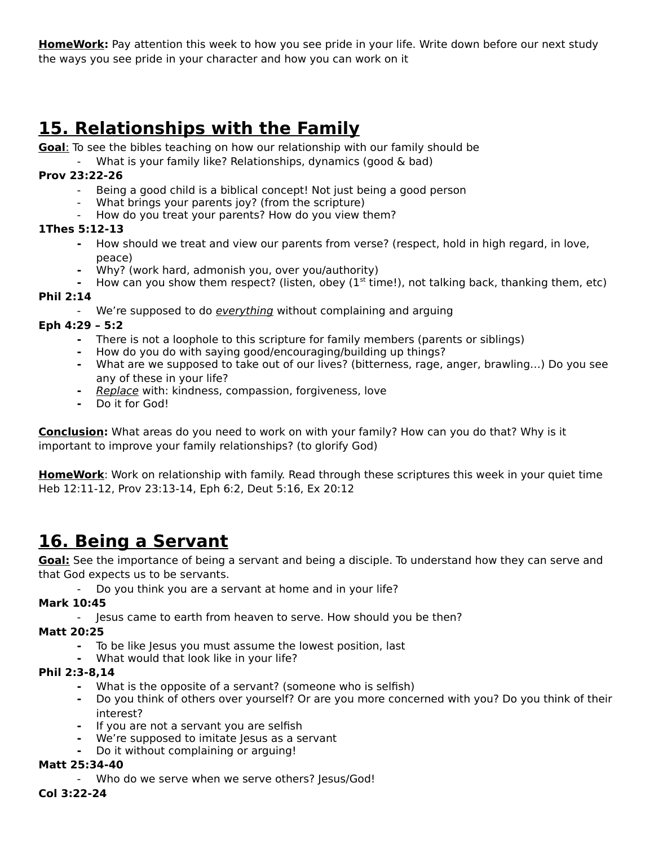**HomeWork:** Pay attention this week to how you see pride in your life. Write down before our next study the ways you see pride in your character and how you can work on it

# **15. Relationships with the Family**

 **Goal**: To see the bibles teaching on how our relationship with our family should be

What is your family like? Relationships, dynamics (good & bad)

## **Prov 23:22-26**

- Being a good child is a biblical concept! Not just being a good person
- What brings your parents joy? (from the scripture)
- How do you treat your parents? How do you view them?

## **1Thes 5:12-13**

- **-** How should we treat and view our parents from verse? (respect, hold in high regard, in love, peace)
- **-** Why? (work hard, admonish you, over you/authority)
- **-** How can you show them respect? (listen, obey (1st time!), not talking back, thanking them, etc)

## **Phil 2:14**

We're supposed to do everything without complaining and arguing

## **Eph 4:29 – 5:2**

- **-** There is not a loophole to this scripture for family members (parents or siblings)
- **-** How do you do with saying good/encouraging/building up things?
- **-** What are we supposed to take out of our lives? (bitterness, rage, anger, brawling…) Do you see any of these in your life?
- **-** Replace with: kindness, compassion, forgiveness, love
- **-** Do it for God!

**Conclusion:** What areas do you need to work on with your family? How can you do that? Why is it important to improve your family relationships? (to glorify God)

**HomeWork**: Work on relationship with family. Read through these scriptures this week in your quiet time Heb 12:11-12, Prov 23:13-14, Eph 6:2, Deut 5:16, Ex 20:12

## **16. Being a Servant**

**Goal:** See the importance of being a servant and being a disciple. To understand how they can serve and that God expects us to be servants.

- Do you think you are a servant at home and in your life?

## **Mark 10:45**

- Jesus came to earth from heaven to serve. How should you be then?

**Matt 20:25**

- **-** To be like Jesus you must assume the lowest position, last
- **-** What would that look like in your life?

## **Phil 2:3-8,14**

- **-** What is the opposite of a servant? (someone who is selfish)
- **-** Do you think of others over yourself? Or are you more concerned with you? Do you think of their interest?
- **-** If you are not a servant you are selfish
- **-** We're supposed to imitate Jesus as a servant
- **-** Do it without complaining or arguing!

### **Matt 25:34-40**

- Who do we serve when we serve others? Jesus/God!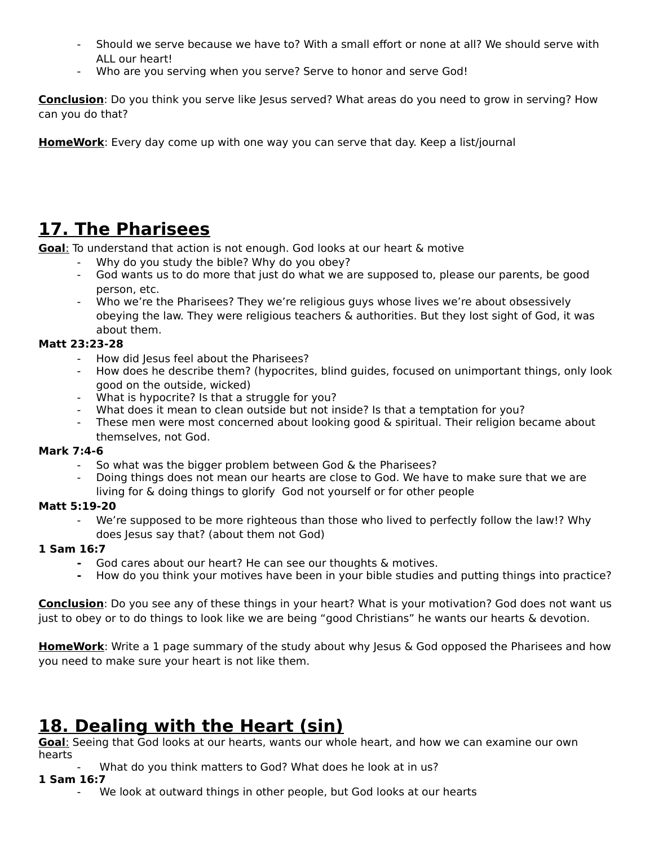- Should we serve because we have to? With a small effort or none at all? We should serve with ALL our heart!
- Who are you serving when you serve? Serve to honor and serve God!

**Conclusion**: Do you think you serve like Jesus served? What areas do you need to grow in serving? How can you do that?

**HomeWork**: Every day come up with one way you can serve that day. Keep a list/journal

# **17. The Pharisees**

 **Goal**: To understand that action is not enough. God looks at our heart & motive

- Why do you study the bible? Why do you obey?
- God wants us to do more that just do what we are supposed to, please our parents, be good person, etc.
- Who we're the Pharisees? They we're religious guys whose lives we're about obsessively obeying the law. They were religious teachers & authorities. But they lost sight of God, it was about them.

## **Matt 23:23-28**

- How did Jesus feel about the Pharisees?
- How does he describe them? (hypocrites, blind guides, focused on unimportant things, only look good on the outside, wicked)
- What is hypocrite? Is that a struggle for you?
- What does it mean to clean outside but not inside? Is that a temptation for you?
- These men were most concerned about looking good & spiritual. Their religion became about themselves, not God.

### **Mark 7:4-6**

- So what was the bigger problem between God & the Pharisees?
- Doing things does not mean our hearts are close to God. We have to make sure that we are living for & doing things to glorify God not yourself or for other people

### **Matt 5:19-20**

We're supposed to be more righteous than those who lived to perfectly follow the law!? Why does Jesus say that? (about them not God)

## **1 Sam 16:7**

- **-** God cares about our heart? He can see our thoughts & motives.
- **-** How do you think your motives have been in your bible studies and putting things into practice?

**Conclusion**: Do you see any of these things in your heart? What is your motivation? God does not want us just to obey or to do things to look like we are being "good Christians" he wants our hearts & devotion.

**HomeWork**: Write a 1 page summary of the study about why Jesus & God opposed the Pharisees and how you need to make sure your heart is not like them.

## **18. Dealing with the Heart (sin)**

 **Goal**: Seeing that God looks at our hearts, wants our whole heart, and how we can examine our own hearts

What do you think matters to God? What does he look at in us?

- **1 Sam 16:7**
	- We look at outward things in other people, but God looks at our hearts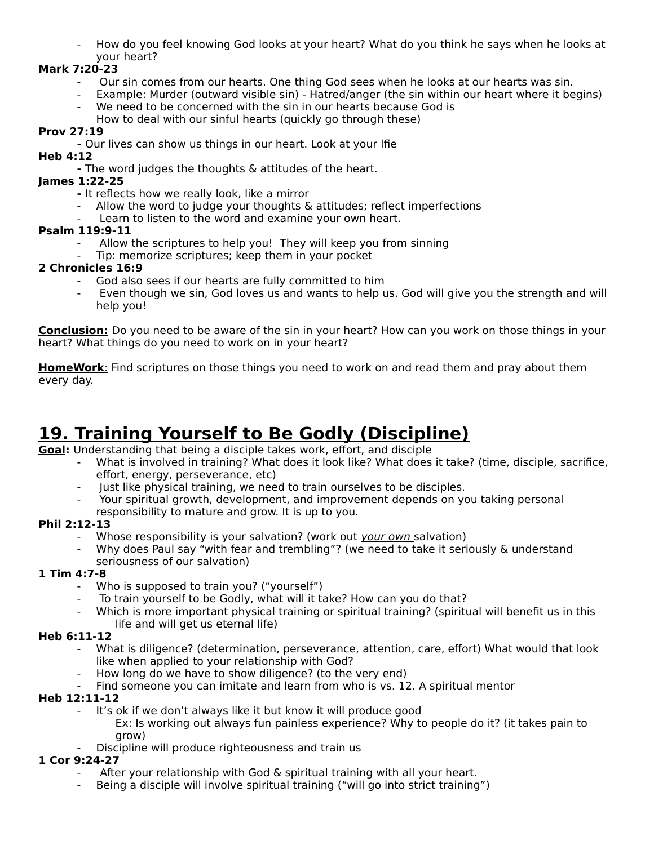- How do you feel knowing God looks at your heart? What do you think he says when he looks at your heart?

## **Mark 7:20-23**

- Our sin comes from our hearts. One thing God sees when he looks at our hearts was sin.
- Example: Murder (outward visible sin) Hatred/anger (the sin within our heart where it begins) We need to be concerned with the sin in our hearts because God is
- How to deal with our sinful hearts (quickly go through these)

## **Prov 27:19**

**-** Our lives can show us things in our heart. Look at your lfie

## **Heb 4:12**

**-** The word judges the thoughts & attitudes of the heart.

## **James 1:22-25**

- It reflects how we really look, like a mirror
- Allow the word to judge your thoughts  $\&$  attitudes; reflect imperfections
- Learn to listen to the word and examine your own heart.

## **Psalm 119:9-11**

- Allow the scriptures to help you! They will keep you from sinning
- Tip: memorize scriptures; keep them in your pocket

## **2 Chronicles 16:9**

- God also sees if our hearts are fully committed to him
- Even though we sin, God loves us and wants to help us. God will give you the strength and will help you!

**Conclusion:** Do you need to be aware of the sin in your heart? How can you work on those things in your heart? What things do you need to work on in your heart?

 **HomeWork**: Find scriptures on those things you need to work on and read them and pray about them every day.

# **19. Training Yourself to Be Godly (Discipline)**

**Goal:** Understanding that being a disciple takes work, effort, and disciple

- What is involved in training? What does it look like? What does it take? (time, disciple, sacrifice, effort, energy, perseverance, etc)
- Just like physical training, we need to train ourselves to be disciples.
- Your spiritual growth, development, and improvement depends on you taking personal
- responsibility to mature and grow. It is up to you.

## **Phil 2:12-13**

- Whose responsibility is your salvation? (work out your own salvation)
- Why does Paul say "with fear and trembling"? (we need to take it seriously & understand seriousness of our salvation)

## **1 Tim 4:7-8**

- Who is supposed to train you? ("yourself")
- To train yourself to be Godly, what will it take? How can you do that?
- Which is more important physical training or spiritual training? (spiritual will benefit us in this life and will get us eternal life)

## **Heb 6:11-12**

- What is diligence? (determination, perseverance, attention, care, effort) What would that look like when applied to your relationship with God?
- How long do we have to show diligence? (to the very end)
- Find someone you can imitate and learn from who is vs. 12. A spiritual mentor

## **Heb 12:11-12**

- It's ok if we don't always like it but know it will produce good
	- Ex: Is working out always fun painless experience? Why to people do it? (it takes pain to grow)
- Discipline will produce righteousness and train us

## **1 Cor 9:24-27**

- After your relationship with God  $\&$  spiritual training with all your heart.
- Being a disciple will involve spiritual training ("will go into strict training")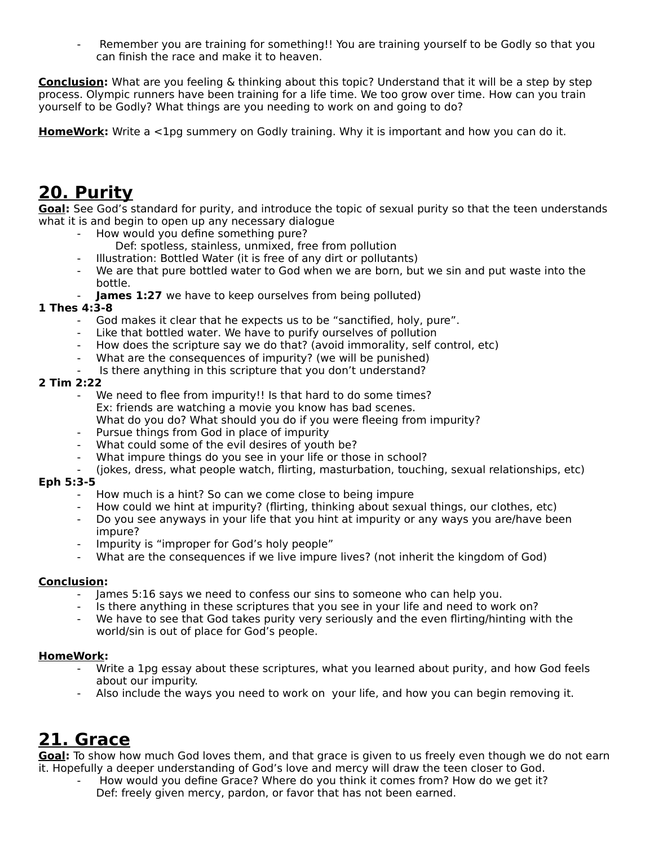Remember you are training for something!! You are training yourself to be Godly so that you can finish the race and make it to heaven.

**Conclusion:** What are you feeling & thinking about this topic? Understand that it will be a step by step process. Olympic runners have been training for a life time. We too grow over time. How can you train yourself to be Godly? What things are you needing to work on and going to do?

**HomeWork:** Write a <1pg summery on Godly training. Why it is important and how you can do it.

## **20. Purity**

**Goal:** See God's standard for purity, and introduce the topic of sexual purity so that the teen understands what it is and begin to open up any necessary dialogue

- How would you define something pure?
	- Def: spotless, stainless, unmixed, free from pollution
	- Illustration: Bottled Water (it is free of any dirt or pollutants)
- We are that pure bottled water to God when we are born, but we sin and put waste into the bottle.
- **James 1:27** we have to keep ourselves from being polluted)

## **1 Thes 4:3-8**

- God makes it clear that he expects us to be "sanctified, holy, pure".
- Like that bottled water. We have to purify ourselves of pollution
- How does the scripture say we do that? (avoid immorality, self control, etc)
- What are the consequences of impurity? (we will be punished)
- Is there anything in this scripture that you don't understand?

### **2 Tim 2:22**

- We need to flee from impurity!! Is that hard to do some times? Ex: friends are watching a movie you know has bad scenes. What do you do? What should you do if you were fleeing from impurity?
- Pursue things from God in place of impurity
- What could some of the evil desires of youth be?
- What impure things do you see in your life or those in school?
- (jokes, dress, what people watch, flirting, masturbation, touching, sexual relationships, etc)

## **Eph 5:3-5**

- How much is a hint? So can we come close to being impure
- How could we hint at impurity? (flirting, thinking about sexual things, our clothes, etc)
- Do you see anyways in your life that you hint at impurity or any ways you are/have been impure?
- Impurity is "improper for God's holy people"
- What are the consequences if we live impure lives? (not inherit the kingdom of God)

### **Conclusion:**

- James 5:16 says we need to confess our sins to someone who can help you.
- Is there anything in these scriptures that you see in your life and need to work on?
- We have to see that God takes purity very seriously and the even flirting/hinting with the world/sin is out of place for God's people.

### **HomeWork:**

- Write a 1pg essay about these scriptures, what you learned about purity, and how God feels about our impurity.
- Also include the ways you need to work on your life, and how you can begin removing it.

## **21. Grace**

**Goal:** To show how much God loves them, and that grace is given to us freely even though we do not earn it. Hopefully a deeper understanding of God's love and mercy will draw the teen closer to God.

How would you define Grace? Where do you think it comes from? How do we get it? Def: freely given mercy, pardon, or favor that has not been earned.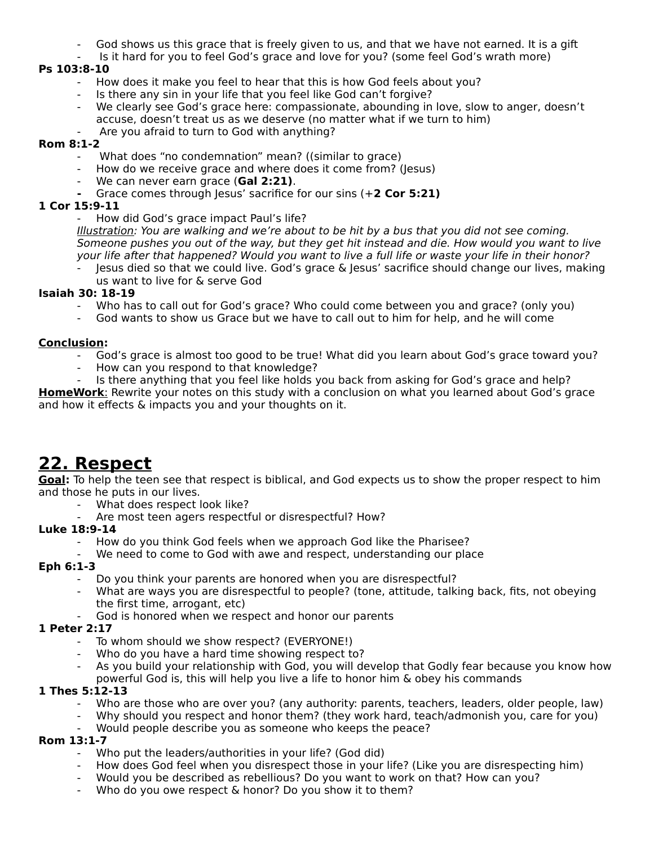- God shows us this grace that is freely given to us, and that we have not earned. It is a gift
- Is it hard for you to feel God's grace and love for you? (some feel God's wrath more)

## **Ps 103:8-10**

- How does it make you feel to hear that this is how God feels about you?
- Is there any sin in your life that you feel like God can't forgive?
- We clearly see God's grace here: compassionate, abounding in love, slow to anger, doesn't accuse, doesn't treat us as we deserve (no matter what if we turn to him)
- Are you afraid to turn to God with anything?

## **Rom 8:1-2**

- What does "no condemnation" mean? ((similar to grace)
- How do we receive grace and where does it come from? (Jesus)
- We can never earn grace (Gal 2:21).
- **-** Grace comes through Jesus' sacrifice for our sins (+**2 Cor 5:21)**

## **1 Cor 15:9-11**

How did God's grace impact Paul's life?

Illustration: You are walking and we're about to be hit by a bus that you did not see coming. Someone pushes you out of the way, but they get hit instead and die. How would you want to live your life after that happened? Would you want to live a full life or waste your life in their honor?

Jesus died so that we could live. God's grace & Jesus' sacrifice should change our lives, making us want to live for & serve God

### **Isaiah 30: 18-19**

- Who has to call out for God's grace? Who could come between you and grace? (only you)
- God wants to show us Grace but we have to call out to him for help, and he will come

### **Conclusion:**

- God's grace is almost too good to be true! What did you learn about God's grace toward you?
- How can you respond to that knowledge?
- Is there anything that you feel like holds you back from asking for God's grace and help?

 **HomeWork**: Rewrite your notes on this study with a conclusion on what you learned about God's grace and how it effects & impacts you and your thoughts on it.

## **22. Respect**

**Goal:** To help the teen see that respect is biblical, and God expects us to show the proper respect to him and those he puts in our lives.

- What does respect look like?
- Are most teen agers respectful or disrespectful? How?

## **Luke 18:9-14**

- How do you think God feels when we approach God like the Pharisee?
- We need to come to God with awe and respect, understanding our place

## **Eph 6:1-3**

- Do you think your parents are honored when you are disrespectful?
- What are ways you are disrespectful to people? (tone, attitude, talking back, fits, not obeying the first time, arrogant, etc)
- God is honored when we respect and honor our parents

### **1 Peter 2:17**

- To whom should we show respect? (EVERYONE!)
- Who do you have a hard time showing respect to?
- As you build your relationship with God, you will develop that Godly fear because you know how powerful God is, this will help you live a life to honor him & obey his commands

### **1 Thes 5:12-13**

- Who are those who are over you? (any authority: parents, teachers, leaders, older people, law)
- Why should you respect and honor them? (they work hard, teach/admonish you, care for you)
- Would people describe you as someone who keeps the peace?

### **Rom 13:1-7**

- Who put the leaders/authorities in your life? (God did)
- How does God feel when you disrespect those in your life? (Like you are disrespecting him)
- Would you be described as rebellious? Do you want to work on that? How can you?
- Who do you owe respect & honor? Do you show it to them?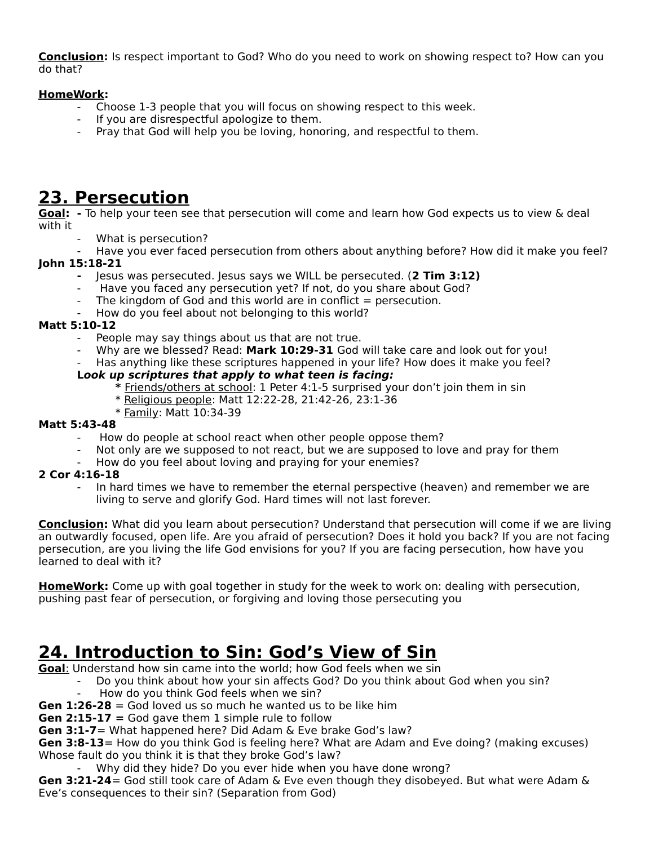**Conclusion:** Is respect important to God? Who do you need to work on showing respect to? How can you do that?

## **HomeWork:**

- Choose 1-3 people that you will focus on showing respect to this week.
- If you are disrespectful apologize to them.
- Pray that God will help you be loving, honoring, and respectful to them.

## **23. Persecution**

**Goal: -** To help your teen see that persecution will come and learn how God expects us to view & deal with it

- What is persecution?
- Have you ever faced persecution from others about anything before? How did it make you feel?

## **John 15:18-21**

- **-** Jesus was persecuted. Jesus says we WILL be persecuted. (**2 Tim 3:12)**
- Have you faced any persecution yet? If not, do you share about God?
- The kingdom of God and this world are in conflict  $=$  persecution.
- How do you feel about not belonging to this world?

## **Matt 5:10-12**

- People may say things about us that are not true.
- Why are we blessed? Read: **Mark 10:29-31** God will take care and look out for you!
- Has anything like these scriptures happened in your life? How does it make you feel?

## **Look up scriptures that apply to what teen is facing:**

- **\*** Friends/others at school: 1 Peter 4:1-5 surprised your don't join them in sin
- \* Religious people: Matt 12:22-28, 21:42-26, 23:1-36
- \* Family: Matt 10:34-39

## **Matt 5:43-48**

- How do people at school react when other people oppose them?
- Not only are we supposed to not react, but we are supposed to love and pray for them
- How do you feel about loving and praying for your enemies?

## **2 Cor 4:16-18**

In hard times we have to remember the eternal perspective (heaven) and remember we are living to serve and glorify God. Hard times will not last forever.

**Conclusion:** What did you learn about persecution? Understand that persecution will come if we are living an outwardly focused, open life. Are you afraid of persecution? Does it hold you back? If you are not facing persecution, are you living the life God envisions for you? If you are facing persecution, how have you learned to deal with it?

**HomeWork:** Come up with goal together in study for the week to work on: dealing with persecution, pushing past fear of persecution, or forgiving and loving those persecuting you

## **24. Introduction to Sin: God's View of Sin**

 **Goal**: Understand how sin came into the world; how God feels when we sin

Do you think about how your sin affects God? Do you think about God when you sin?

- How do you think God feels when we sin?
- **Gen 1:26-28** = God loved us so much he wanted us to be like him
- **Gen 2:15-17 =** God gave them 1 simple rule to follow

**Gen 3:1-7**= What happened here? Did Adam & Eve brake God's law?

**Gen 3:8-13**= How do you think God is feeling here? What are Adam and Eve doing? (making excuses) Whose fault do you think it is that they broke God's law?

Why did they hide? Do you ever hide when you have done wrong?

**Gen 3:21-24**= God still took care of Adam & Eve even though they disobeyed. But what were Adam & Eve's consequences to their sin? (Separation from God)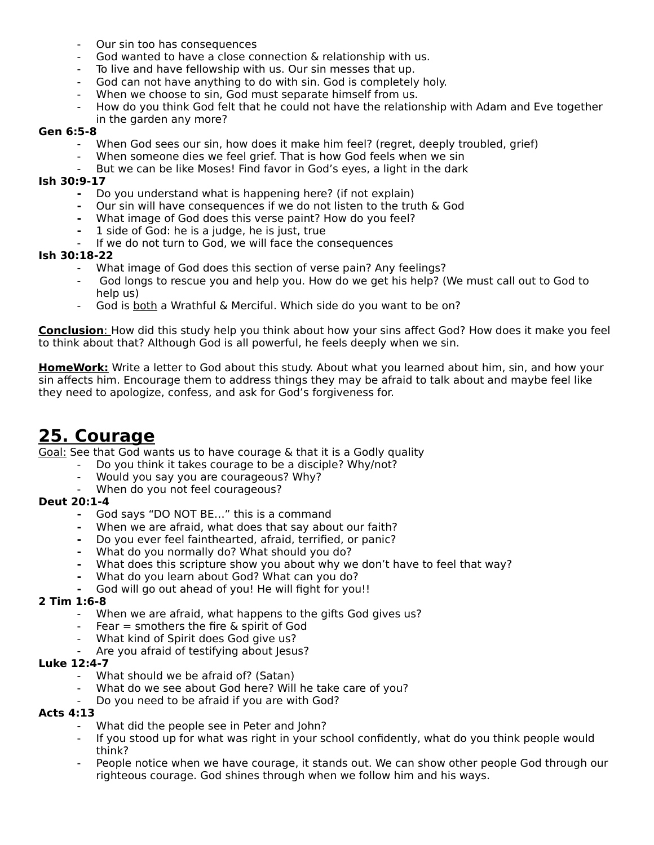- Our sin too has consequences
- God wanted to have a close connection & relationship with us.
- To live and have fellowship with us. Our sin messes that up.
- God can not have anything to do with sin. God is completely holy.
- When we choose to sin, God must separate himself from us.
- How do you think God felt that he could not have the relationship with Adam and Eve together in the garden any more?

#### **Gen 6:5-8**

- When God sees our sin, how does it make him feel? (regret, deeply troubled, grief)
- When someone dies we feel grief. That is how God feels when we sin
- But we can be like Moses! Find favor in God's eyes, a light in the dark

#### **Ish 30:9-17**

- **-** Do you understand what is happening here? (if not explain)
- **-** Our sin will have consequences if we do not listen to the truth & God
- **-** What image of God does this verse paint? How do you feel?
- **-** 1 side of God: he is a judge, he is just, true
- If we do not turn to God, we will face the consequences

#### **Ish 30:18-22**

- What image of God does this section of verse pain? Any feelings?
- God longs to rescue you and help you. How do we get his help? (We must call out to God to help us)
- God is both a Wrathful & Merciful. Which side do you want to be on?

 **Conclusion**: How did this study help you think about how your sins affect God? How does it make you feel to think about that? Although God is all powerful, he feels deeply when we sin.

**HomeWork:** Write a letter to God about this study. About what you learned about him, sin, and how your sin affects him. Encourage them to address things they may be afraid to talk about and maybe feel like they need to apologize, confess, and ask for God's forgiveness for.

## **25. Courage**

Goal: See that God wants us to have courage & that it is a Godly quality

- Do you think it takes courage to be a disciple? Why/not?
- Would you say you are courageous? Why?
- When do you not feel courageous?

### **Deut 20:1-4**

- **-** God says "DO NOT BE…" this is a command
- **-** When we are afraid, what does that say about our faith?
- **-** Do you ever feel fainthearted, afraid, terrified, or panic?
- **-** What do you normally do? What should you do?
- **-** What does this scripture show you about why we don't have to feel that way?
- **-** What do you learn about God? What can you do?
- **-** God will go out ahead of you! He will fight for you!!

### **2 Tim 1:6-8**

- When we are afraid, what happens to the gifts God gives us?
- Fear  $=$  smothers the fire  $\&$  spirit of God
- What kind of Spirit does God give us?
- Are you afraid of testifying about Jesus?

#### **Luke 12:4-7**

- What should we be afraid of? (Satan)
- What do we see about God here? Will he take care of you?
- Do you need to be afraid if you are with God?

#### **Acts 4:13**

- What did the people see in Peter and John?
- If you stood up for what was right in your school confidently, what do you think people would think?
- People notice when we have courage, it stands out. We can show other people God through our righteous courage. God shines through when we follow him and his ways.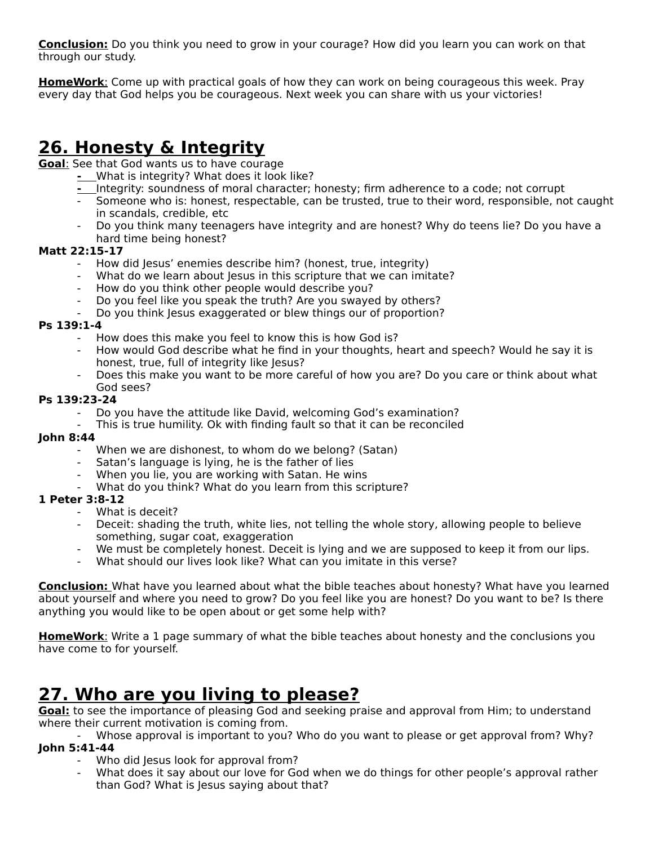**Conclusion:** Do you think you need to grow in your courage? How did you learn you can work on that through our study.

 **HomeWork**: Come up with practical goals of how they can work on being courageous this week. Pray every day that God helps you be courageous. Next week you can share with us your victories!

## **26. Honesty & Integrity**

 **Goal**: See that God wants us to have courage

- What is integrity? What does it look like?
- Integrity: soundness of moral character; honesty; firm adherence to a code; not corrupt
- Someone who is: honest, respectable, can be trusted, true to their word, responsible, not caught in scandals, credible, etc
- Do you think many teenagers have integrity and are honest? Why do teens lie? Do you have a hard time being honest?

## **Matt 22:15-17**

- How did Jesus' enemies describe him? (honest, true, integrity)
- What do we learn about Jesus in this scripture that we can imitate?
- How do you think other people would describe you?
- Do you feel like you speak the truth? Are you swayed by others?
- Do you think Jesus exaggerated or blew things our of proportion?

### **Ps 139:1-4**

- How does this make you feel to know this is how God is?
- How would God describe what he find in your thoughts, heart and speech? Would he say it is honest, true, full of integrity like Jesus?
- Does this make you want to be more careful of how you are? Do you care or think about what God sees?

### **Ps 139:23-24**

- Do you have the attitude like David, welcoming God's examination?
- This is true humility. Ok with finding fault so that it can be reconciled

### **John 8:44**

- When we are dishonest, to whom do we belong? (Satan)
- Satan's language is lying, he is the father of lies
- When you lie, you are working with Satan. He wins
- What do you think? What do you learn from this scripture?

## **1 Peter 3:8-12**

- What is deceit?
- Deceit: shading the truth, white lies, not telling the whole story, allowing people to believe something, sugar coat, exaggeration
- We must be completely honest. Deceit is lying and we are supposed to keep it from our lips.
- What should our lives look like? What can you imitate in this verse?

**Conclusion:** What have you learned about what the bible teaches about honesty? What have you learned about yourself and where you need to grow? Do you feel like you are honest? Do you want to be? Is there anything you would like to be open about or get some help with?

 **HomeWork**: Write a 1 page summary of what the bible teaches about honesty and the conclusions you have come to for yourself.

## **27. Who are you living to please?**

**Goal:** to see the importance of pleasing God and seeking praise and approval from Him; to understand where their current motivation is coming from.

Whose approval is important to you? Who do you want to please or get approval from? Why? **John 5:41-44**

- Who did Jesus look for approval from?
- What does it say about our love for God when we do things for other people's approval rather than God? What is Jesus saying about that?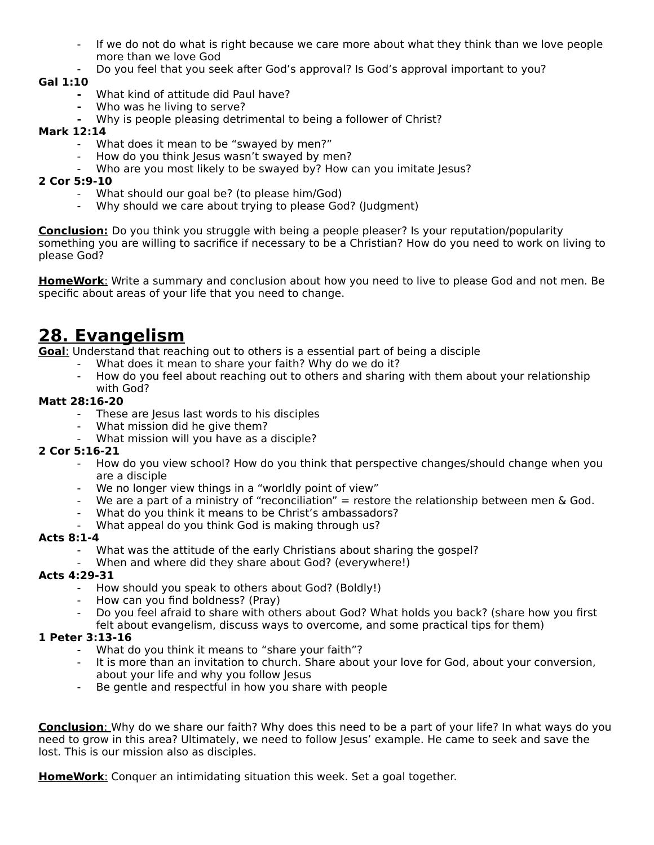- If we do not do what is right because we care more about what they think than we love people more than we love God
- Do you feel that you seek after God's approval? Is God's approval important to you?

## **Gal 1:10**

- **-** What kind of attitude did Paul have?
	- **-** Who was he living to serve?
- **-** Why is people pleasing detrimental to being a follower of Christ?

### **Mark 12:14**

- What does it mean to be "swayed by men?"
- How do you think Jesus wasn't swayed by men?
- Who are you most likely to be swayed by? How can you imitate Jesus?

## **2 Cor 5:9-10**

- What should our goal be? (to please him/God)
- Why should we care about trying to please God? (Judgment)

**Conclusion:** Do you think you struggle with being a people pleaser? Is your reputation/popularity something you are willing to sacrifice if necessary to be a Christian? How do you need to work on living to please God?

 **HomeWork**: Write a summary and conclusion about how you need to live to please God and not men. Be specific about areas of your life that you need to change.

## **28. Evangelism**

 **Goal**: Understand that reaching out to others is a essential part of being a disciple

- What does it mean to share your faith? Why do we do it?
- How do you feel about reaching out to others and sharing with them about your relationship

#### with God? **Matt 28:16-20**

- These are Jesus last words to his disciples
- What mission did he give them?
- What mission will you have as a disciple?

## **2 Cor 5:16-21**

- How do you view school? How do you think that perspective changes/should change when you are a disciple
- We no longer view things in a "worldly point of view"
- We are a part of a ministry of "reconciliation"  $=$  restore the relationship between men  $\&$  God.
- What do you think it means to be Christ's ambassadors?
- What appeal do you think God is making through us?

## **Acts 8:1-4**

- What was the attitude of the early Christians about sharing the gospel?
- When and where did they share about God? (everywhere!)

## **Acts 4:29-31**

- How should you speak to others about God? (Boldly!)
- How can you find boldness? (Pray)
- Do you feel afraid to share with others about God? What holds you back? (share how you first

## felt about evangelism, discuss ways to overcome, and some practical tips for them)

## **1 Peter 3:13-16**

- What do you think it means to "share your faith"?
- It is more than an invitation to church. Share about your love for God, about your conversion, about your life and why you follow Jesus
- Be gentle and respectful in how you share with people

 **Conclusion**: Why do we share our faith? Why does this need to be a part of your life? In what ways do you need to grow in this area? Ultimately, we need to follow Jesus' example. He came to seek and save the lost. This is our mission also as disciples.

 **HomeWork**: Conquer an intimidating situation this week. Set a goal together.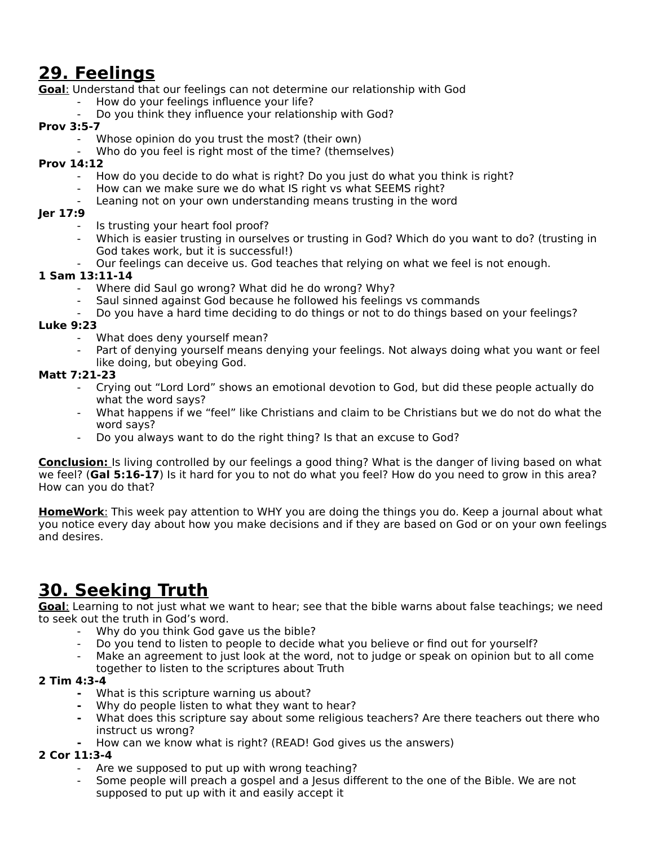# **29. Feelings**

 **Goal**: Understand that our feelings can not determine our relationship with God

- How do your feelings influence your life?
- Do you think they influence your relationship with God?

## **Prov 3:5-7**

- Whose opinion do you trust the most? (their own)
- Who do you feel is right most of the time? (themselves)

## **Prov 14:12**

- How do you decide to do what is right? Do you just do what you think is right?
- How can we make sure we do what IS right vs what SEEMS right?
- Leaning not on your own understanding means trusting in the word

## **Jer 17:9**

- Is trusting your heart fool proof?
- Which is easier trusting in ourselves or trusting in God? Which do you want to do? (trusting in God takes work, but it is successful!)
- Our feelings can deceive us. God teaches that relying on what we feel is not enough.

### **1 Sam 13:11-14**

- Where did Saul go wrong? What did he do wrong? Why?
- Saul sinned against God because he followed his feelings vs commands
- Do you have a hard time deciding to do things or not to do things based on your feelings?

### **Luke 9:23**

- What does deny yourself mean?
- Part of denying yourself means denying your feelings. Not always doing what you want or feel like doing, but obeying God.

## **Matt 7:21-23**

- Crying out "Lord Lord" shows an emotional devotion to God, but did these people actually do what the word says?
- What happens if we "feel" like Christians and claim to be Christians but we do not do what the word says?
- Do you always want to do the right thing? Is that an excuse to God?

**Conclusion:** Is living controlled by our feelings a good thing? What is the danger of living based on what we feel? (**Gal 5:16-17**) Is it hard for you to not do what you feel? How do you need to grow in this area? How can you do that?

 **HomeWork**: This week pay attention to WHY you are doing the things you do. Keep a journal about what you notice every day about how you make decisions and if they are based on God or on your own feelings and desires.

# **30. Seeking Truth**

 **Goal**: Learning to not just what we want to hear; see that the bible warns about false teachings; we need to seek out the truth in God's word.

- Why do you think God gave us the bible?
- Do you tend to listen to people to decide what you believe or find out for yourself?
- Make an agreement to just look at the word, not to judge or speak on opinion but to all come together to listen to the scriptures about Truth

## **2 Tim 4:3-4**

- **-** What is this scripture warning us about?
- **-** Why do people listen to what they want to hear?
- **-** What does this scripture say about some religious teachers? Are there teachers out there who instruct us wrong?
- **-** How can we know what is right? (READ! God gives us the answers)

### **2 Cor 11:3-4**

- Are we supposed to put up with wrong teaching?
- Some people will preach a gospel and a Jesus different to the one of the Bible. We are not supposed to put up with it and easily accept it